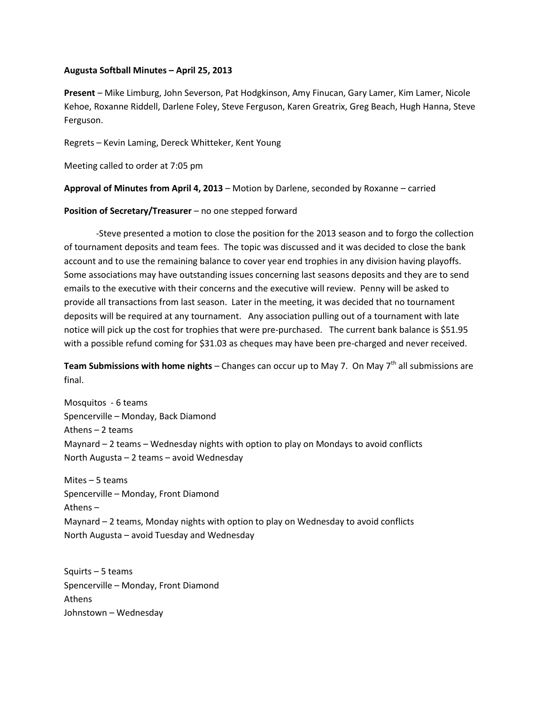## **Augusta Softball Minutes – April 25, 2013**

**Present** – Mike Limburg, John Severson, Pat Hodgkinson, Amy Finucan, Gary Lamer, Kim Lamer, Nicole Kehoe, Roxanne Riddell, Darlene Foley, Steve Ferguson, Karen Greatrix, Greg Beach, Hugh Hanna, Steve Ferguson.

Regrets – Kevin Laming, Dereck Whitteker, Kent Young

Meeting called to order at 7:05 pm

**Approval of Minutes from April 4, 2013** – Motion by Darlene, seconded by Roxanne – carried

## **Position of Secretary/Treasurer** – no one stepped forward

-Steve presented a motion to close the position for the 2013 season and to forgo the collection of tournament deposits and team fees. The topic was discussed and it was decided to close the bank account and to use the remaining balance to cover year end trophies in any division having playoffs. Some associations may have outstanding issues concerning last seasons deposits and they are to send emails to the executive with their concerns and the executive will review. Penny will be asked to provide all transactions from last season. Later in the meeting, it was decided that no tournament deposits will be required at any tournament. Any association pulling out of a tournament with late notice will pick up the cost for trophies that were pre-purchased. The current bank balance is \$51.95 with a possible refund coming for \$31.03 as cheques may have been pre-charged and never received.

**Team Submissions with home nights** – Changes can occur up to May 7. On May 7<sup>th</sup> all submissions are final.

Mosquitos - 6 teams Spencerville – Monday, Back Diamond Athens – 2 teams Maynard – 2 teams – Wednesday nights with option to play on Mondays to avoid conflicts North Augusta – 2 teams – avoid Wednesday

Mites – 5 teams Spencerville – Monday, Front Diamond Athens – Maynard – 2 teams, Monday nights with option to play on Wednesday to avoid conflicts North Augusta – avoid Tuesday and Wednesday

Squirts – 5 teams Spencerville – Monday, Front Diamond Athens Johnstown – Wednesday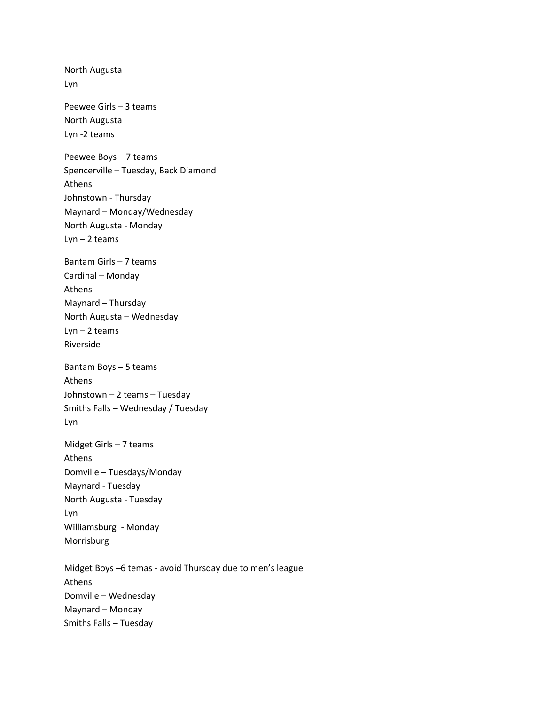North Augusta Lyn Peewee Girls – 3 teams North Augusta Lyn -2 teams Peewee Boys – 7 teams Spencerville – Tuesday, Back Diamond Athens Johnstown - Thursday Maynard – Monday/Wednesday North Augusta - Monday  $Lyn - 2$  teams Bantam Girls – 7 teams Cardinal – Monday Athens Maynard – Thursday North Augusta – Wednesday  $Lyn - 2$  teams Riverside Bantam Boys – 5 teams Athens Johnstown – 2 teams – Tuesday Smiths Falls – Wednesday / Tuesday Lyn Midget Girls – 7 teams Athens Domville – Tuesdays/Monday Maynard - Tuesday North Augusta - Tuesday Lyn Williamsburg - Monday Morrisburg Midget Boys –6 temas - avoid Thursday due to men's league Athens Domville – Wednesday Maynard – Monday Smiths Falls – Tuesday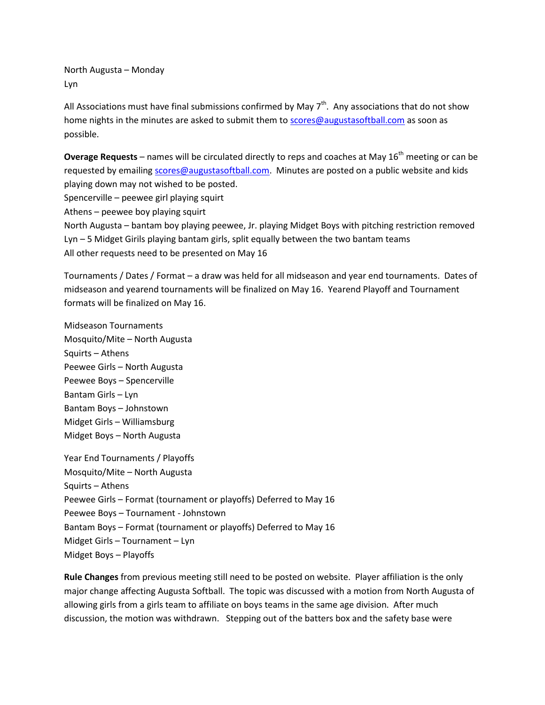North Augusta – Monday Lyn

All Associations must have final submissions confirmed by May  $7<sup>th</sup>$ . Any associations that do not show home nights in the minutes are asked to submit them to [scores@augustasoftball.com](mailto:scores@augustasoftball.com) as soon as possible.

**Overage Requests** – names will be circulated directly to reps and coaches at May 16<sup>th</sup> meeting or can be requested by emailing [scores@augustasoftball.com.](mailto:scores@augustasoftball.com) Minutes are posted on a public website and kids playing down may not wished to be posted.

Spencerville – peewee girl playing squirt

Athens – peewee boy playing squirt

North Augusta – bantam boy playing peewee, Jr. playing Midget Boys with pitching restriction removed Lyn – 5 Midget Girils playing bantam girls, split equally between the two bantam teams All other requests need to be presented on May 16

Tournaments / Dates / Format – a draw was held for all midseason and year end tournaments. Dates of midseason and yearend tournaments will be finalized on May 16. Yearend Playoff and Tournament formats will be finalized on May 16.

Midseason Tournaments Mosquito/Mite – North Augusta Squirts – Athens Peewee Girls – North Augusta Peewee Boys – Spencerville Bantam Girls – Lyn Bantam Boys – Johnstown Midget Girls – Williamsburg Midget Boys – North Augusta

Year End Tournaments / Playoffs Mosquito/Mite – North Augusta Squirts – Athens Peewee Girls – Format (tournament or playoffs) Deferred to May 16 Peewee Boys – Tournament - Johnstown Bantam Boys – Format (tournament or playoffs) Deferred to May 16 Midget Girls – Tournament – Lyn Midget Boys – Playoffs

**Rule Changes** from previous meeting still need to be posted on website. Player affiliation is the only major change affecting Augusta Softball. The topic was discussed with a motion from North Augusta of allowing girls from a girls team to affiliate on boys teams in the same age division. After much discussion, the motion was withdrawn. Stepping out of the batters box and the safety base were